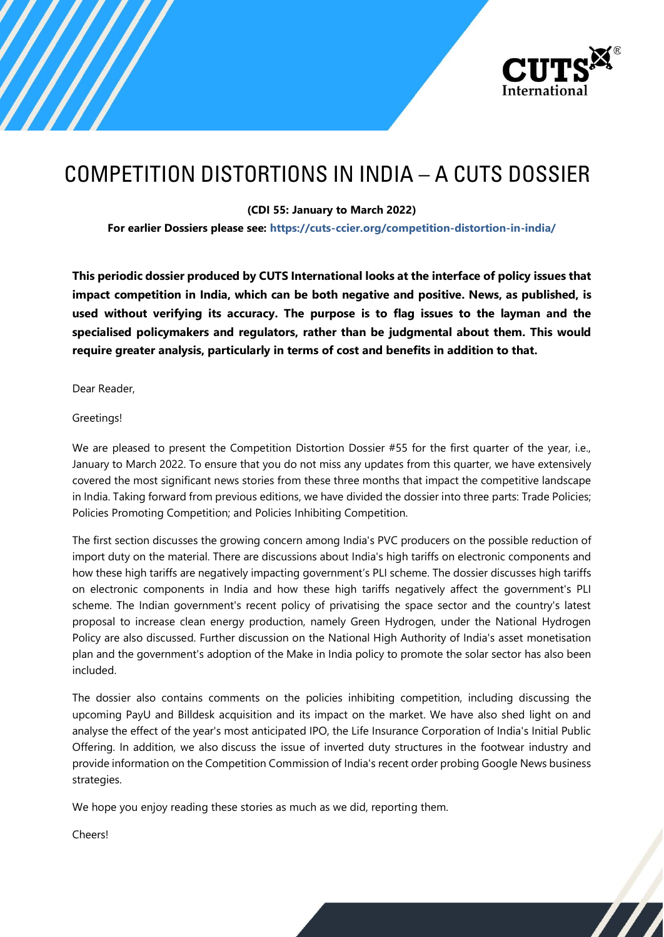

# COMPETITION DISTORTIONS IN INDIA – A CUTS DOSSIER

**(CDI 55: January to March 2022)**

**For earlier Dossiers please see: <https://cuts-ccier.org/competition-distortion-in-india/>**

**This periodic dossier produced by CUTS International looks at the interface of policy issues that impact competition in India, which can be both negative and positive. News, as published, is used without verifying its accuracy. The purpose is to flag issues to the layman and the specialised policymakers and regulators, rather than be judgmental about them. This would require greater analysis, particularly in terms of cost and benefits in addition to that.**

Dear Reader,

Greetings!

We are pleased to present the Competition Distortion Dossier #55 for the first quarter of the year, i.e., January to March 2022. To ensure that you do not miss any updates from this quarter, we have extensively covered the most significant news stories from these three months that impact the competitive landscape in India. Taking forward from previous editions, we have divided the dossier into three parts: Trade Policies; Policies Promoting Competition; and Policies Inhibiting Competition.

The first section discusses the growing concern among India's PVC producers on the possible reduction of import duty on the material. There are discussions about India's high tariffs on electronic components and how these high tariffs are negatively impacting government's PLI scheme. The dossier discusses high tariffs on electronic components in India and how these high tariffs negatively affect the government's PLI scheme. The Indian government's recent policy of privatising the space sector and the country's latest proposal to increase clean energy production, namely Green Hydrogen, under the National Hydrogen Policy are also discussed. Further discussion on the National High Authority of India's asset monetisation plan and the government's adoption of the Make in India policy to promote the solar sector has also been included.

The dossier also contains comments on the policies inhibiting competition, including discussing the upcoming PayU and Billdesk acquisition and its impact on the market. We have also shed light on and analyse the effect of the year's most anticipated IPO, the Life Insurance Corporation of India's Initial Public Offering. In addition, we also discuss the issue of inverted duty structures in the footwear industry and provide information on the Competition Commission of India's recent order probing Google News business strategies.

We hope you enjoy reading these stories as much as we did, reporting them.

Cheers!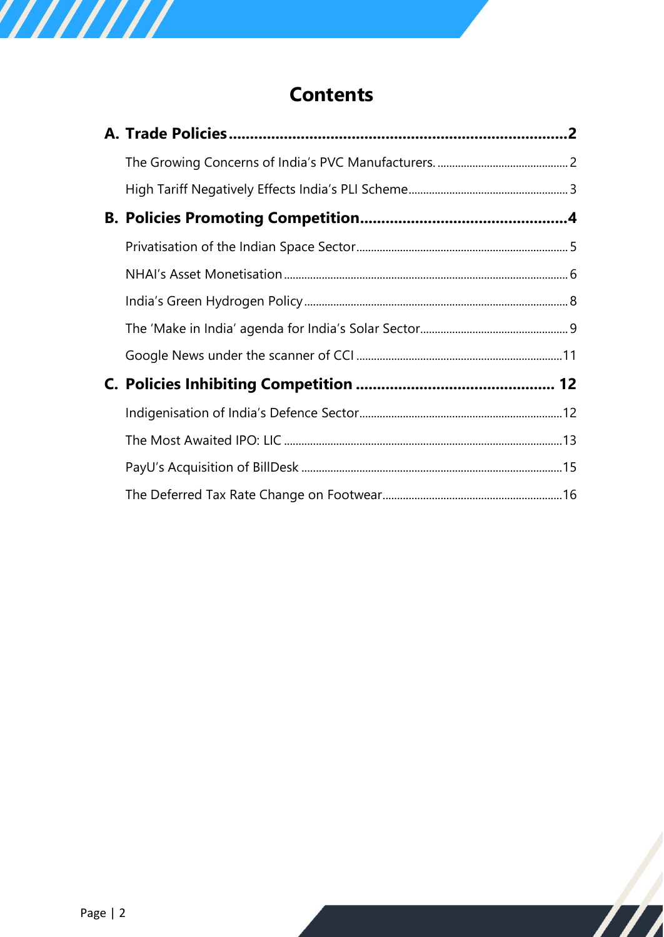# **[Contents](#page-2-0)**

 $\bm{\mathcal{L}}$ 

////////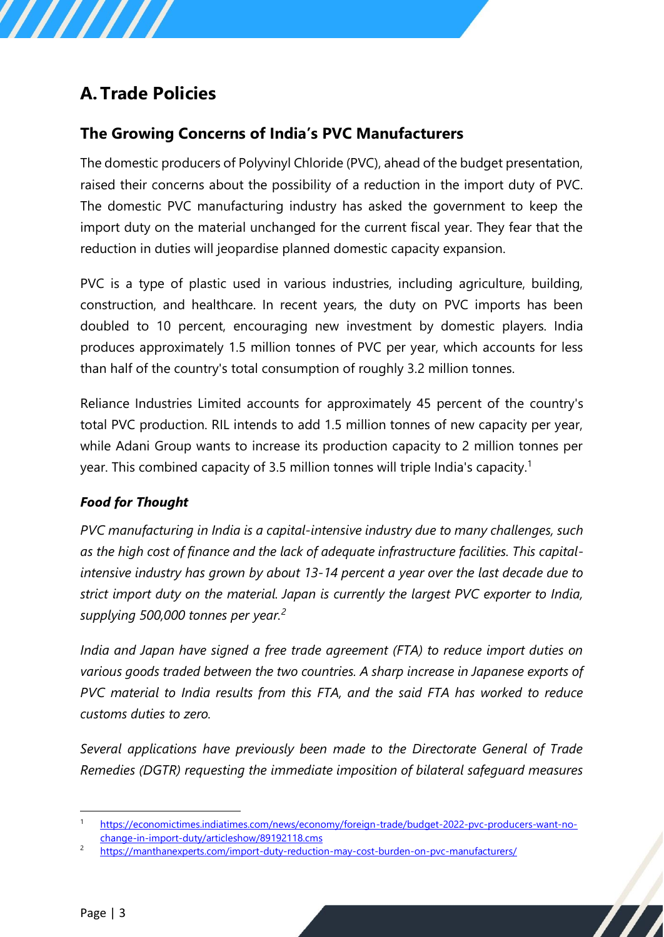# <span id="page-2-0"></span>**A. Trade Policies**

/////

# <span id="page-2-1"></span>**The Growing Concerns of India's PVC Manufacturers**

The domestic producers of Polyvinyl Chloride (PVC), ahead of the budget presentation, raised their concerns about the possibility of a reduction in the import duty of PVC. The domestic PVC manufacturing industry has asked the government to keep the import duty on the material unchanged for the current fiscal year. They fear that the reduction in duties will jeopardise planned domestic capacity expansion.

PVC is a type of plastic used in various industries, including agriculture, building, construction, and healthcare. In recent years, the duty on PVC imports has been doubled to 10 percent, encouraging new investment by domestic players. India produces approximately 1.5 million tonnes of PVC per year, which accounts for less than half of the country's total consumption of roughly 3.2 million tonnes.

Reliance Industries Limited accounts for approximately 45 percent of the country's total PVC production. RIL intends to add 1.5 million tonnes of new capacity per year, while Adani Group wants to increase its production capacity to 2 million tonnes per year. This combined capacity of 3.5 million tonnes will triple India's capacity.<sup>1</sup>

## *Food for Thought*

*PVC manufacturing in India is a capital-intensive industry due to many challenges, such as the high cost of finance and the lack of adequate infrastructure facilities. This capitalintensive industry has grown by about 13-14 percent a year over the last decade due to strict import duty on the material. Japan is currently the largest PVC exporter to India, supplying 500,000 tonnes per year.<sup>2</sup>*

*India and Japan have signed a free trade agreement (FTA) to reduce import duties on various goods traded between the two countries. A sharp increase in Japanese exports of PVC material to India results from this FTA, and the said FTA has worked to reduce customs duties to zero.* 

*Several applications have previously been made to the Directorate General of Trade Remedies (DGTR) requesting the immediate imposition of bilateral safeguard measures* 

<sup>1</sup> [https://economictimes.indiatimes.com/news/economy/foreign-trade/budget-2022-pvc-producers-want-no](https://economictimes.indiatimes.com/news/economy/foreign-trade/budget-2022-pvc-producers-want-no-change-in-import-duty/articleshow/89192118.cms)[change-in-import-duty/articleshow/89192118.cms](https://economictimes.indiatimes.com/news/economy/foreign-trade/budget-2022-pvc-producers-want-no-change-in-import-duty/articleshow/89192118.cms)

<sup>2</sup> <https://manthanexperts.com/import-duty-reduction-may-cost-burden-on-pvc-manufacturers/>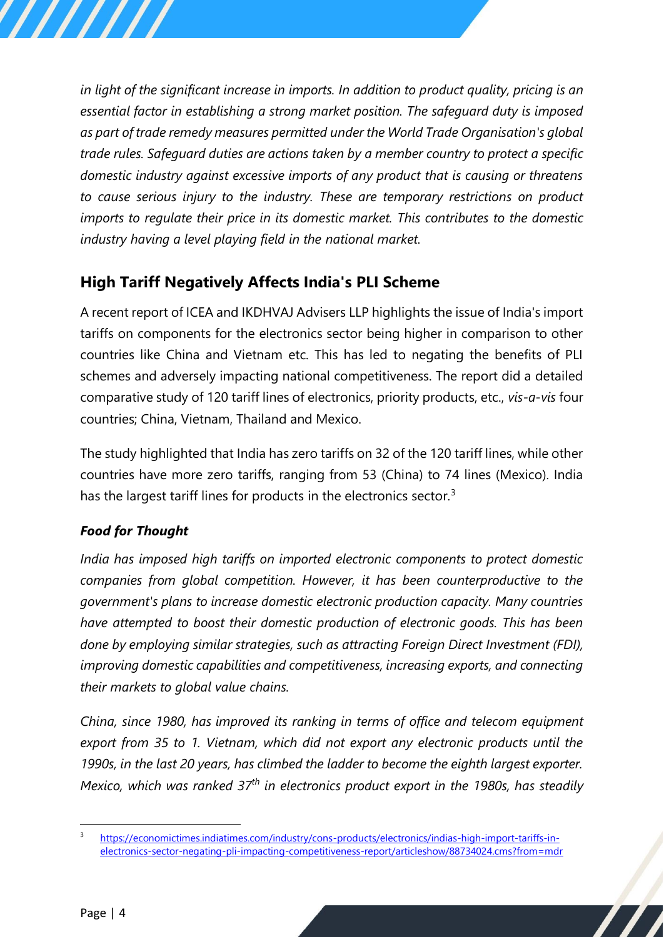*in light of the significant increase in imports. In addition to product quality, pricing is an essential factor in establishing a strong market position. The safeguard duty is imposed as part of trade remedy measures permitted under the World Trade Organisation's global trade rules. Safeguard duties are actions taken by a member country to protect a specific domestic industry against excessive imports of any product that is causing or threatens to cause serious injury to the industry. These are temporary restrictions on product imports to regulate their price in its domestic market. This contributes to the domestic industry having a level playing field in the national market.*

# <span id="page-3-0"></span>**High Tariff Negatively Affects India's PLI Scheme**

A recent report of ICEA and IKDHVAJ Advisers LLP highlights the issue of India's import tariffs on components for the electronics sector being higher in comparison to other countries like China and Vietnam etc. This has led to negating the benefits of PLI schemes and adversely impacting national competitiveness. The report did a detailed comparative study of 120 tariff lines of electronics, priority products, etc., *vis-a-vis* four countries; China, Vietnam, Thailand and Mexico.

The study highlighted that India has zero tariffs on 32 of the 120 tariff lines, while other countries have more zero tariffs, ranging from 53 (China) to 74 lines (Mexico). India has the largest tariff lines for products in the electronics sector.<sup>3</sup>

# *Food for Thought*

*India has imposed high tariffs on imported electronic components to protect domestic companies from global competition. However, it has been counterproductive to the government's plans to increase domestic electronic production capacity. Many countries have attempted to boost their domestic production of electronic goods. This has been done by employing similar strategies, such as attracting Foreign Direct Investment (FDI), improving domestic capabilities and competitiveness, increasing exports, and connecting their markets to global value chains.* 

*China, since 1980, has improved its ranking in terms of office and telecom equipment export from 35 to 1. Vietnam, which did not export any electronic products until the 1990s, in the last 20 years, has climbed the ladder to become the eighth largest exporter. Mexico, which was ranked 37th in electronics product export in the 1980s, has steadily* 

<sup>3</sup> [https://economictimes.indiatimes.com/industry/cons-products/electronics/indias-high-import-tariffs-in](https://economictimes.indiatimes.com/industry/cons-products/electronics/indias-high-import-tariffs-in-electronics-sector-negating-pli-impacting-competitiveness-report/articleshow/88734024.cms?from=mdr)[electronics-sector-negating-pli-impacting-competitiveness-report/articleshow/88734024.cms?from=mdr](https://economictimes.indiatimes.com/industry/cons-products/electronics/indias-high-import-tariffs-in-electronics-sector-negating-pli-impacting-competitiveness-report/articleshow/88734024.cms?from=mdr)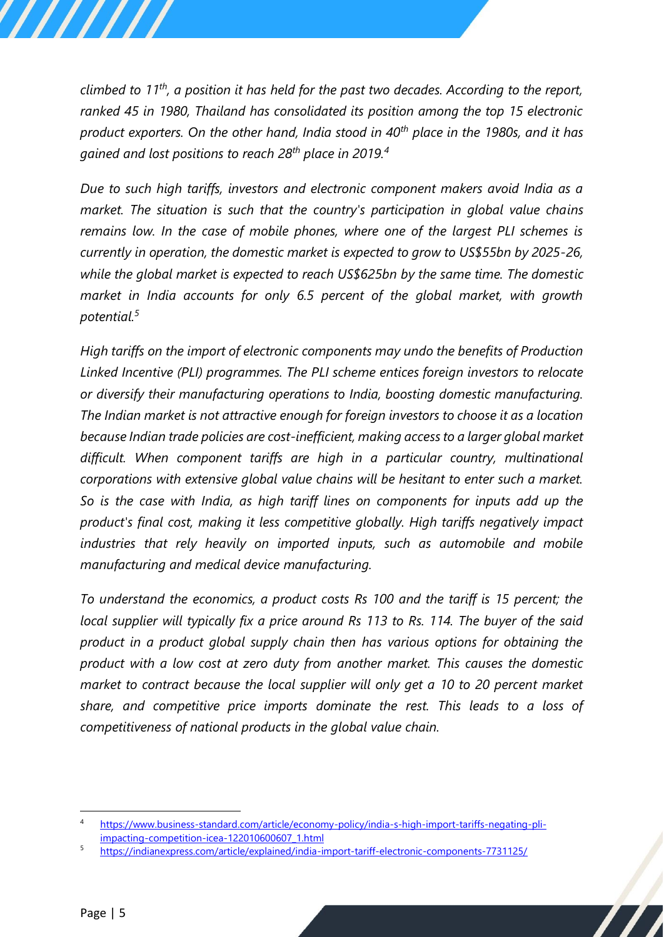*climbed to 11th, a position it has held for the past two decades. According to the report, ranked 45 in 1980, Thailand has consolidated its position among the top 15 electronic product exporters. On the other hand, India stood in 40th place in the 1980s, and it has gained and lost positions to reach 28th place in 2019.<sup>4</sup>*

*Due to such high tariffs, investors and electronic component makers avoid India as a market. The situation is such that the country's participation in global value chains remains low. In the case of mobile phones, where one of the largest PLI schemes is currently in operation, the domestic market is expected to grow to US\$55bn by 2025-26, while the global market is expected to reach US\$625bn by the same time. The domestic market in India accounts for only 6.5 percent of the global market, with growth potential.<sup>5</sup>*

*High tariffs on the import of electronic components may undo the benefits of Production Linked Incentive (PLI) programmes. The PLI scheme entices foreign investors to relocate or diversify their manufacturing operations to India, boosting domestic manufacturing. The Indian market is not attractive enough for foreign investors to choose it as a location because Indian trade policies are cost-inefficient, making access to a larger global market difficult. When component tariffs are high in a particular country, multinational corporations with extensive global value chains will be hesitant to enter such a market. So is the case with India, as high tariff lines on components for inputs add up the product's final cost, making it less competitive globally. High tariffs negatively impact industries that rely heavily on imported inputs, such as automobile and mobile manufacturing and medical device manufacturing.* 

*To understand the economics, a product costs Rs 100 and the tariff is 15 percent; the local supplier will typically fix a price around Rs 113 to Rs. 114. The buyer of the said product in a product global supply chain then has various options for obtaining the product with a low cost at zero duty from another market. This causes the domestic market to contract because the local supplier will only get a 10 to 20 percent market share, and competitive price imports dominate the rest. This leads to a loss of competitiveness of national products in the global value chain.*

<sup>4</sup> [https://www.business-standard.com/article/economy-policy/india-s-high-import-tariffs-negating-pli](https://www.business-standard.com/article/economy-policy/india-s-high-import-tariffs-negating-pli-impacting-competition-icea-122010600607_1.html)[impacting-competition-icea-122010600607\\_1.html](https://www.business-standard.com/article/economy-policy/india-s-high-import-tariffs-negating-pli-impacting-competition-icea-122010600607_1.html)

<sup>5</sup> <https://indianexpress.com/article/explained/india-import-tariff-electronic-components-7731125/>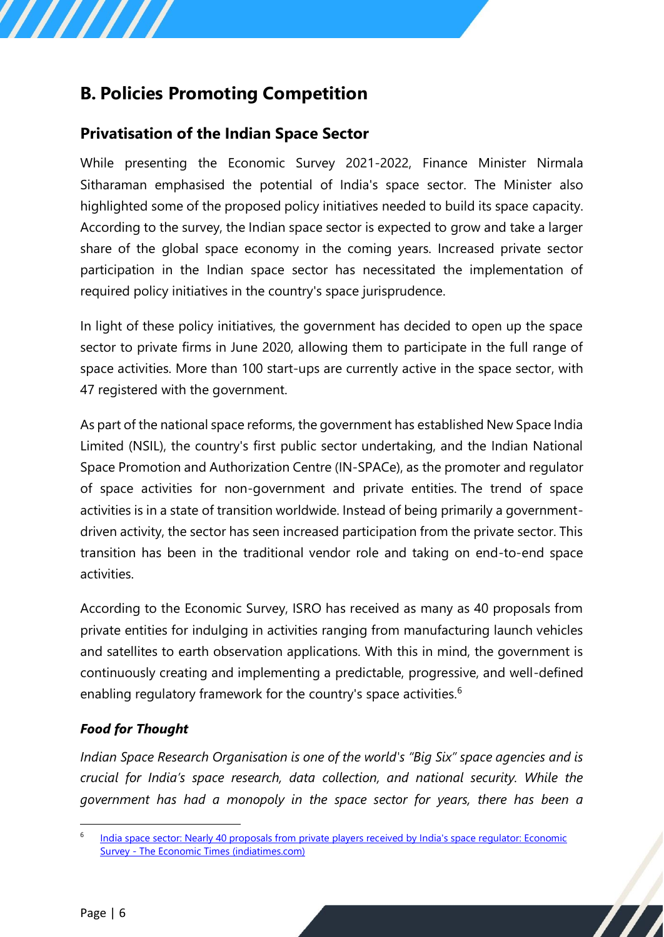# <span id="page-5-0"></span>**B. Policies Promoting Competition**

77777

# <span id="page-5-1"></span>**Privatisation of the Indian Space Sector**

While presenting the Economic Survey 2021-2022, Finance Minister Nirmala Sitharaman emphasised the potential of India's space sector. The Minister also highlighted some of the proposed policy initiatives needed to build its space capacity. According to the survey, the Indian space sector is expected to grow and take a larger share of the global space economy in the coming years. Increased private sector participation in the Indian space sector has necessitated the implementation of required policy initiatives in the country's space jurisprudence.

In light of these policy initiatives, the government has decided to open up the space sector to private firms in June 2020, allowing them to participate in the full range of space activities. More than 100 start-ups are currently active in the space sector, with 47 registered with the government.

As part of the national space reforms, the government has established New Space India Limited (NSIL), the country's first public sector undertaking, and the Indian National Space Promotion and Authorization Centre (IN-SPACe), as the promoter and regulator of space activities for non-government and private entities. The trend of space activities is in a state of transition worldwide. Instead of being primarily a governmentdriven activity, the sector has seen increased participation from the private sector. This transition has been in the traditional vendor role and taking on end-to-end space activities.

According to the Economic Survey, ISRO has received as many as 40 proposals from private entities for indulging in activities ranging from manufacturing launch vehicles and satellites to earth observation applications. With this in mind, the government is continuously creating and implementing a predictable, progressive, and well-defined enabling regulatory framework for the country's space activities.<sup>6</sup>

## *Food for Thought*

*Indian Space Research Organisation is one of the world's "Big Six" space agencies and is crucial for India's space research, data collection, and national security. While the government has had a monopoly in the space sector for years, there has been a* 

<sup>6</sup> India space sector: Nearly 40 proposals from private players received by India's space regulator: Economic Survey - [The Economic Times \(indiatimes.com\)](https://economictimes.indiatimes.com/news/science/nearly-40-proposals-from-private-players-received-by-indias-space-regulator-economic-survey/articleshow/89248281.cms)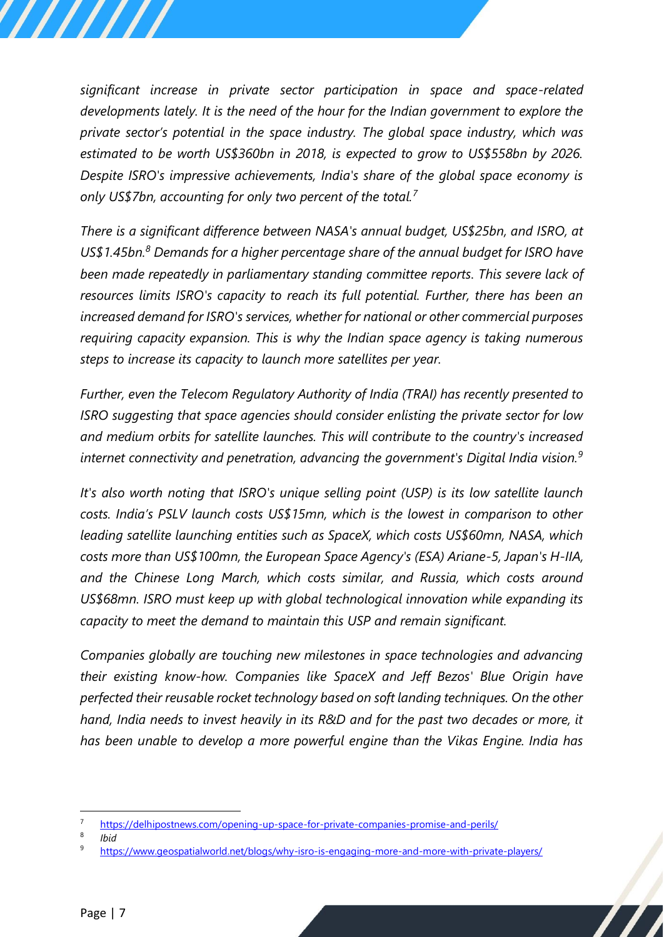*significant increase in private sector participation in space and space-related developments lately. It is the need of the hour for the Indian government to explore the private sector's potential in the space industry. The global space industry, which was estimated to be worth US\$360bn in 2018, is expected to grow to US\$558bn by 2026. Despite ISRO's impressive achievements, India's share of the global space economy is only US\$7bn, accounting for only two percent of the total.<sup>7</sup>*

*There is a significant difference between NASA's annual budget, US\$25bn, and ISRO, at US\$1.45bn.<sup>8</sup> Demands for a higher percentage share of the annual budget for ISRO have been made repeatedly in parliamentary standing committee reports. This severe lack of resources limits ISRO's capacity to reach its full potential. Further, there has been an increased demand for ISRO's services, whether for national or other commercial purposes requiring capacity expansion. This is why the Indian space agency is taking numerous steps to increase its capacity to launch more satellites per year.* 

*Further, even the Telecom Regulatory Authority of India (TRAI) has recently presented to ISRO suggesting that space agencies should consider enlisting the private sector for low and medium orbits for satellite launches. This will contribute to the country's increased internet connectivity and penetration, advancing the government's Digital India vision.<sup>9</sup>*

*It's also worth noting that ISRO's unique selling point (USP) is its low satellite launch costs. India's PSLV launch costs US\$15mn, which is the lowest in comparison to other leading satellite launching entities such as SpaceX, which costs US\$60mn, NASA, which costs more than US\$100mn, the European Space Agency's (ESA) Ariane-5, Japan's H-IIA, and the Chinese Long March, which costs similar, and Russia, which costs around US\$68mn. ISRO must keep up with global technological innovation while expanding its capacity to meet the demand to maintain this USP and remain significant.* 

*Companies globally are touching new milestones in space technologies and advancing their existing know-how. Companies like SpaceX and Jeff Bezos' Blue Origin have perfected their reusable rocket technology based on soft landing techniques. On the other hand, India needs to invest heavily in its R&D and for the past two decades or more, it has been unable to develop a more powerful engine than the Vikas Engine. India has* 

8 *Ibid* 

<sup>7</sup> <https://delhipostnews.com/opening-up-space-for-private-companies-promise-and-perils/>

<https://www.geospatialworld.net/blogs/why-isro-is-engaging-more-and-more-with-private-players/>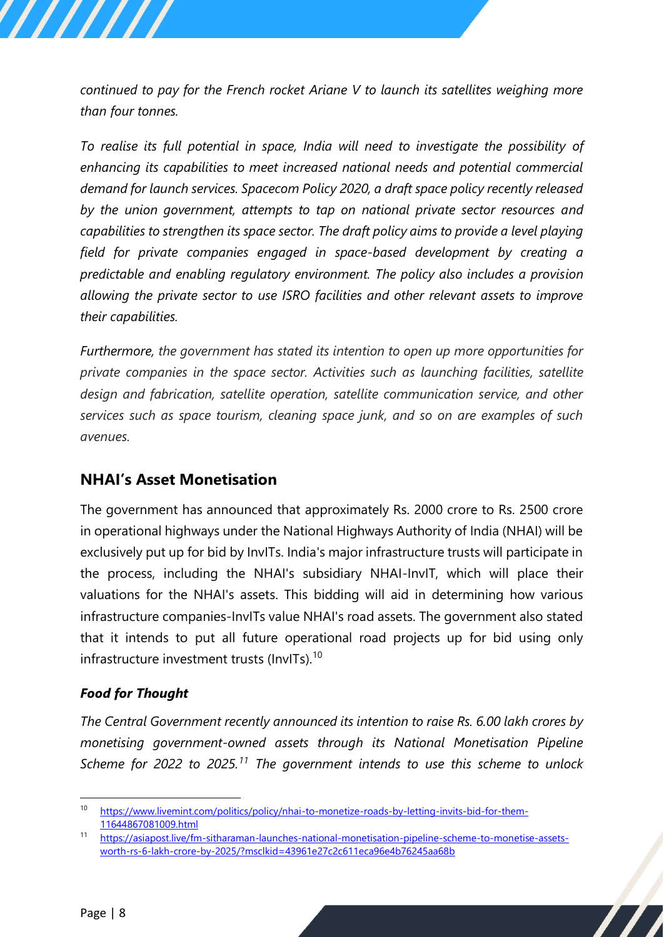*continued to pay for the French rocket Ariane V to launch its satellites weighing more than four tonnes.*

*To realise its full potential in space, India will need to investigate the possibility of enhancing its capabilities to meet increased national needs and potential commercial demand for launch services. Spacecom Policy 2020, a draft space policy recently released by the union government, attempts to tap on national private sector resources and capabilities to strengthen its space sector. The draft policy aims to provide a level playing field for private companies engaged in space-based development by creating a predictable and enabling regulatory environment. The policy also includes a provision allowing the private sector to use ISRO facilities and other relevant assets to improve their capabilities.* 

*Furthermore, the government has stated its intention to open up more opportunities for private companies in the space sector. Activities such as launching facilities, satellite design and fabrication, satellite operation, satellite communication service, and other services such as space tourism, cleaning space junk, and so on are examples of such avenues.*

# <span id="page-7-0"></span>**NHAI's Asset Monetisation**

The government has announced that approximately Rs. 2000 crore to Rs. 2500 crore in operational highways under the National Highways Authority of India (NHAI) will be exclusively put up for bid by InvITs. India's major infrastructure trusts will participate in the process, including the NHAI's subsidiary NHAI-InvIT, which will place their valuations for the NHAI's assets. This bidding will aid in determining how various infrastructure companies-InvITs value NHAI's road assets. The government also stated that it intends to put all future operational road projects up for bid using only infrastructure investment trusts (InvITs).<sup>10</sup>

## *Food for Thought*

*The Central Government recently announced its intention to raise Rs. 6.00 lakh crores by monetising government-owned assets through its National Monetisation Pipeline Scheme for 2022 to 2025.<sup>11</sup> The government intends to use this scheme to unlock* 

<sup>10</sup> [https://www.livemint.com/politics/policy/nhai-to-monetize-roads-by-letting-invits-bid-for-them-](https://www.livemint.com/politics/policy/nhai-to-monetize-roads-by-letting-invits-bid-for-them-11644867081009.html)[11644867081009.html](https://www.livemint.com/politics/policy/nhai-to-monetize-roads-by-letting-invits-bid-for-them-11644867081009.html)

<sup>11</sup> [https://asiapost.live/fm-sitharaman-launches-national-monetisation-pipeline-scheme-to-monetise-assets](https://asiapost.live/fm-sitharaman-launches-national-monetisation-pipeline-scheme-to-monetise-assets-worth-rs-6-lakh-crore-by-2025/?msclkid=43961e27c2c611eca96e4b76245aa68b)[worth-rs-6-lakh-crore-by-2025/?msclkid=43961e27c2c611eca96e4b76245aa68b](https://asiapost.live/fm-sitharaman-launches-national-monetisation-pipeline-scheme-to-monetise-assets-worth-rs-6-lakh-crore-by-2025/?msclkid=43961e27c2c611eca96e4b76245aa68b)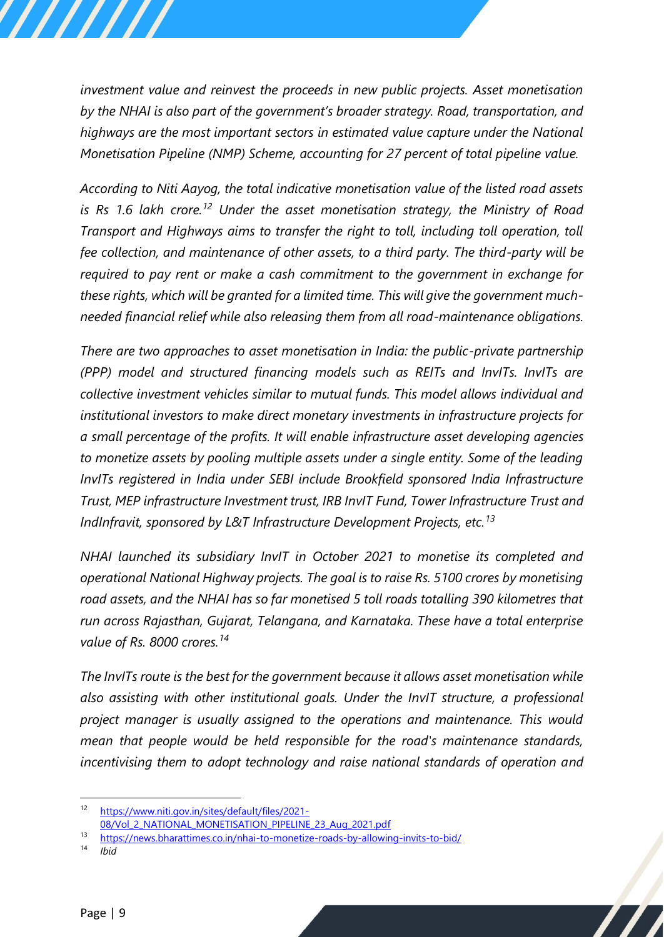*investment value and reinvest the proceeds in new public projects. Asset monetisation by the NHAI is also part of the government's broader strategy. Road, transportation, and highways are the most important sectors in estimated value capture under the National Monetisation Pipeline (NMP) Scheme, accounting for 27 percent of total pipeline value.* 

*According to Niti Aayog, the total indicative monetisation value of the listed road assets is Rs 1.6 lakh crore.<sup>12</sup> Under the asset monetisation strategy, the Ministry of Road Transport and Highways aims to transfer the right to toll, including toll operation, toll fee collection, and maintenance of other assets, to a third party. The third-party will be required to pay rent or make a cash commitment to the government in exchange for these rights, which will be granted for a limited time. This will give the government muchneeded financial relief while also releasing them from all road-maintenance obligations.*

*There are two approaches to asset monetisation in India: the public-private partnership (PPP) model and structured financing models such as REITs and InvITs. InvITs are collective investment vehicles similar to mutual funds. This model allows individual and institutional investors to make direct monetary investments in infrastructure projects for a small percentage of the profits. It will enable infrastructure asset developing agencies to monetize assets by pooling multiple assets under a single entity. Some of the leading InvITs registered in India under SEBI include Brookfield sponsored India Infrastructure Trust, MEP infrastructure Investment trust, IRB InvIT Fund, Tower Infrastructure Trust and IndInfravit, sponsored by L&T Infrastructure Development Projects, etc.<sup>13</sup>*

*NHAI launched its subsidiary InvIT in October 2021 to monetise its completed and operational National Highway projects. The goal is to raise Rs. 5100 crores by monetising road assets, and the NHAI has so far monetised 5 toll roads totalling 390 kilometres that run across Rajasthan, Gujarat, Telangana, and Karnataka. These have a total enterprise value of Rs. 8000 crores.<sup>14</sup>*

*The InvITs route is the best for the government because it allows asset monetisation while also assisting with other institutional goals. Under the InvIT structure, a professional project manager is usually assigned to the operations and maintenance. This would mean that people would be held responsible for the road's maintenance standards, incentivising them to adopt technology and raise national standards of operation and* 

<sup>12</sup> [https://www.niti.gov.in/sites/default/files/2021-](https://www.niti.gov.in/sites/default/files/2021-08/Vol_2_NATIONAL_MONETISATION_PIPELINE_23_Aug_2021.pdf) [08/Vol\\_2\\_NATIONAL\\_MONETISATION\\_PIPELINE\\_23\\_Aug\\_2021.pdf](https://www.niti.gov.in/sites/default/files/2021-08/Vol_2_NATIONAL_MONETISATION_PIPELINE_23_Aug_2021.pdf)

<sup>13</sup> <https://news.bharattimes.co.in/nhai-to-monetize-roads-by-allowing-invits-to-bid/>

*Ibid*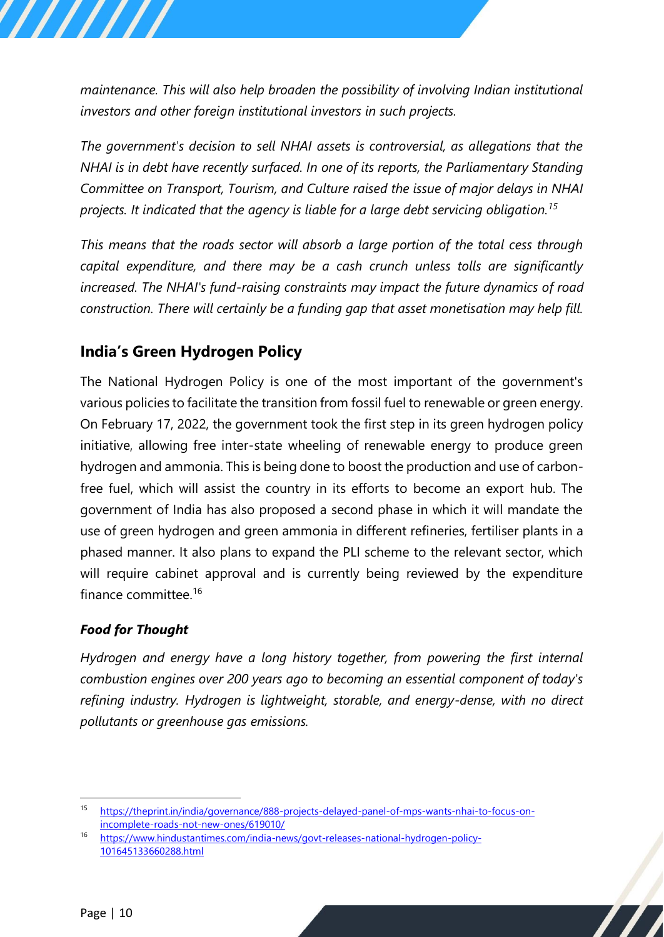*maintenance. This will also help broaden the possibility of involving Indian institutional investors and other foreign institutional investors in such projects.*

*The government's decision to sell NHAI assets is controversial, as allegations that the NHAI is in debt have recently surfaced. In one of its reports, the Parliamentary Standing Committee on Transport, Tourism, and Culture raised the issue of major delays in NHAI projects. It indicated that the agency is liable for a large debt servicing obligation.<sup>15</sup>*

*This means that the roads sector will absorb a large portion of the total cess through capital expenditure, and there may be a cash crunch unless tolls are significantly increased. The NHAI's fund-raising constraints may impact the future dynamics of road construction. There will certainly be a funding gap that asset monetisation may help fill.*

# <span id="page-9-0"></span>**India's Green Hydrogen Policy**

The National Hydrogen Policy is one of the most important of the government's various policies to facilitate the transition from fossil fuel to renewable or green energy. On February 17, 2022, the government took the first step in its green hydrogen policy initiative, allowing free inter-state wheeling of renewable energy to produce green hydrogen and ammonia. This is being done to boost the production and use of carbonfree fuel, which will assist the country in its efforts to become an export hub. The government of India has also proposed a second phase in which it will mandate the use of green hydrogen and green ammonia in different refineries, fertiliser plants in a phased manner. It also plans to expand the PLI scheme to the relevant sector, which will require cabinet approval and is currently being reviewed by the expenditure finance committee.<sup>16</sup>

## *Food for Thought*

*Hydrogen and energy have a long history together, from powering the first internal combustion engines over 200 years ago to becoming an essential component of today's refining industry. Hydrogen is lightweight, storable, and energy-dense, with no direct pollutants or greenhouse gas emissions.* 

<sup>15</sup> [https://theprint.in/india/governance/888-projects-delayed-panel-of-mps-wants-nhai-to-focus-on](https://theprint.in/india/governance/888-projects-delayed-panel-of-mps-wants-nhai-to-focus-on-incomplete-roads-not-new-ones/619010/)[incomplete-roads-not-new-ones/619010/](https://theprint.in/india/governance/888-projects-delayed-panel-of-mps-wants-nhai-to-focus-on-incomplete-roads-not-new-ones/619010/)

<sup>16</sup> [https://www.hindustantimes.com/india-news/govt-releases-national-hydrogen-policy-](https://www.hindustantimes.com/india-news/govt-releases-national-hydrogen-policy-101645133660288.html)[101645133660288.html](https://www.hindustantimes.com/india-news/govt-releases-national-hydrogen-policy-101645133660288.html)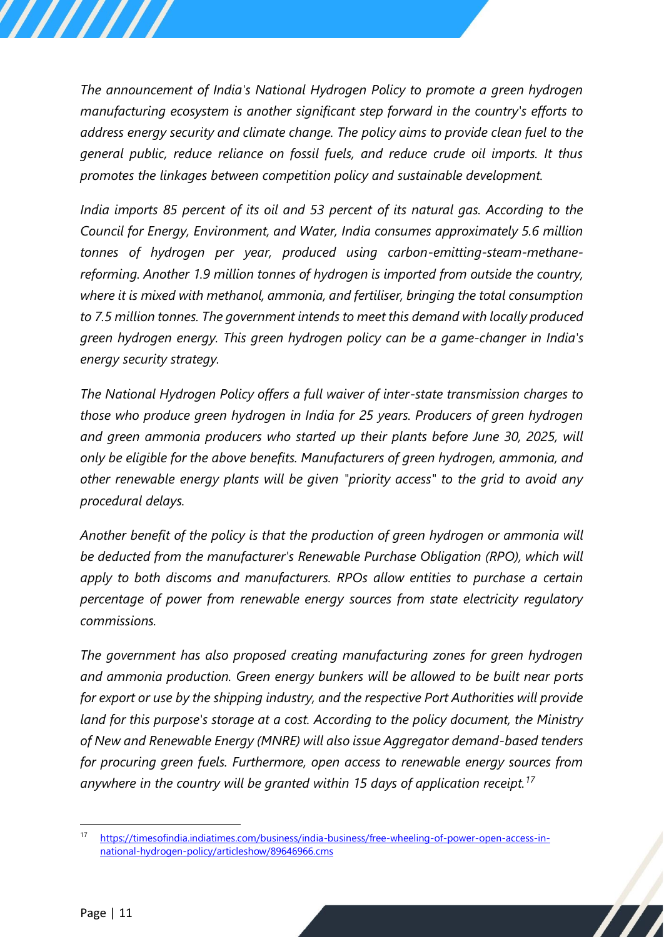*The announcement of India's National Hydrogen Policy to promote a green hydrogen manufacturing ecosystem is another significant step forward in the country's efforts to address energy security and climate change. The policy aims to provide clean fuel to the general public, reduce reliance on fossil fuels, and reduce crude oil imports. It thus promotes the linkages between competition policy and sustainable development.*

*India imports 85 percent of its oil and 53 percent of its natural gas. According to the Council for Energy, Environment, and Water, India consumes approximately 5.6 million tonnes of hydrogen per year, produced using carbon-emitting-steam-methanereforming. Another 1.9 million tonnes of hydrogen is imported from outside the country, where it is mixed with methanol, ammonia, and fertiliser, bringing the total consumption to 7.5 million tonnes. The government intends to meet this demand with locally produced green hydrogen energy. This green hydrogen policy can be a game-changer in India's energy security strategy.* 

*The National Hydrogen Policy offers a full waiver of inter-state transmission charges to those who produce green hydrogen in India for 25 years. Producers of green hydrogen and green ammonia producers who started up their plants before June 30, 2025, will only be eligible for the above benefits. Manufacturers of green hydrogen, ammonia, and other renewable energy plants will be given "priority access" to the grid to avoid any procedural delays.* 

*Another benefit of the policy is that the production of green hydrogen or ammonia will be deducted from the manufacturer's Renewable Purchase Obligation (RPO), which will apply to both discoms and manufacturers. RPOs allow entities to purchase a certain percentage of power from renewable energy sources from state electricity regulatory commissions.*

*The government has also proposed creating manufacturing zones for green hydrogen and ammonia production. Green energy bunkers will be allowed to be built near ports for export or use by the shipping industry, and the respective Port Authorities will provide land for this purpose's storage at a cost. According to the policy document, the Ministry of New and Renewable Energy (MNRE) will also issue Aggregator demand-based tenders for procuring green fuels. Furthermore, open access to renewable energy sources from anywhere in the country will be granted within 15 days of application receipt.<sup>17</sup>*

<sup>17</sup> [https://timesofindia.indiatimes.com/business/india-business/free-wheeling-of-power-open-access-in](https://timesofindia.indiatimes.com/business/india-business/free-wheeling-of-power-open-access-in-national-hydrogen-policy/articleshow/89646966.cms)[national-hydrogen-policy/articleshow/89646966.cms](https://timesofindia.indiatimes.com/business/india-business/free-wheeling-of-power-open-access-in-national-hydrogen-policy/articleshow/89646966.cms)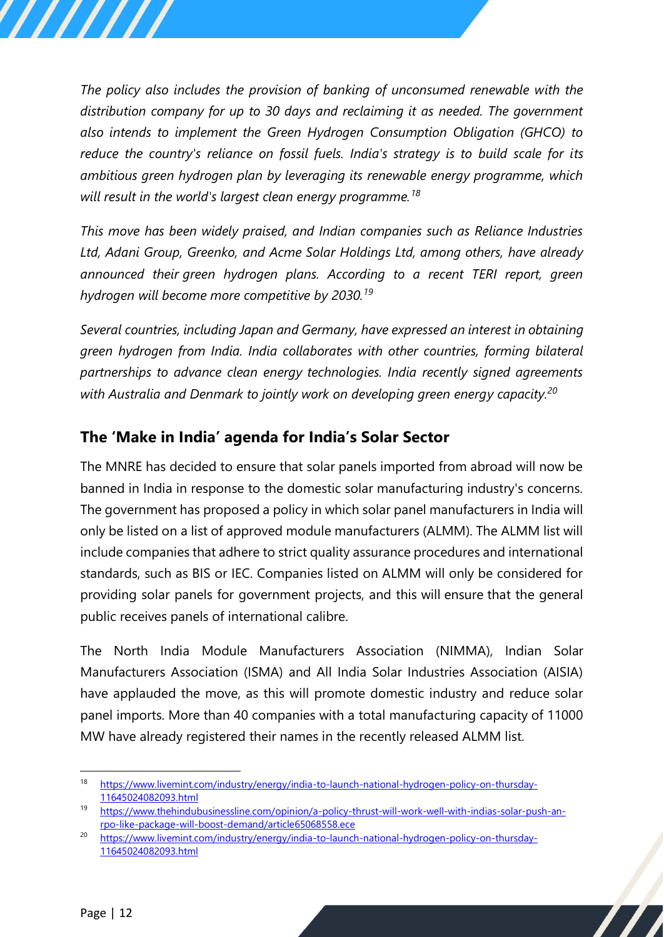*The policy also includes the provision of banking of unconsumed renewable with the distribution company for up to 30 days and reclaiming it as needed. The government also intends to implement the Green Hydrogen Consumption Obligation (GHCO) to reduce the country's reliance on fossil fuels. India's strategy is to build scale for its ambitious green hydrogen plan by leveraging its renewable energy programme, which will result in the world's largest clean energy programme.<sup>18</sup>*

*This move has been widely praised, and Indian companies such as Reliance Industries Ltd, Adani Group, Greenko, and Acme Solar Holdings Ltd, among others, have already announced their green hydrogen plans. According to a recent TERI report, green hydrogen will become more competitive by 2030.<sup>19</sup>*

*Several countries, including Japan and Germany, have expressed an interest in obtaining green hydrogen from India. India collaborates with other countries, forming bilateral partnerships to advance clean energy technologies. India recently signed agreements with Australia and Denmark to jointly work on developing green energy capacity.<sup>20</sup>*

# <span id="page-11-0"></span>**The 'Make in India' agenda for India's Solar Sector**

The MNRE has decided to ensure that solar panels imported from abroad will now be banned in India in response to the domestic solar manufacturing industry's concerns. The government has proposed a policy in which solar panel manufacturers in India will only be listed on a list of approved module manufacturers (ALMM). The ALMM list will include companies that adhere to strict quality assurance procedures and international standards, such as BIS or IEC. Companies listed on ALMM will only be considered for providing solar panels for government projects, and this will ensure that the general public receives panels of international calibre.

The North India Module Manufacturers Association (NIMMA), Indian Solar Manufacturers Association (ISMA) and All India Solar Industries Association (AISIA) have applauded the move, as this will promote domestic industry and reduce solar panel imports. More than 40 companies with a total manufacturing capacity of 11000 MW have already registered their names in the recently released ALMM list.

<sup>18</sup> [https://www.livemint.com/industry/energy/india-to-launch-national-hydrogen-policy-on-thursday-](https://www.livemint.com/industry/energy/india-to-launch-national-hydrogen-policy-on-thursday-11645024082093.html)[11645024082093.html](https://www.livemint.com/industry/energy/india-to-launch-national-hydrogen-policy-on-thursday-11645024082093.html)

<sup>19</sup> [https://www.thehindubusinessline.com/opinion/a-policy-thrust-will-work-well-with-indias-solar-push-an](https://www.thehindubusinessline.com/opinion/a-policy-thrust-will-work-well-with-indias-solar-push-an-rpo-like-package-will-boost-demand/article65068558.ece)[rpo-like-package-will-boost-demand/article65068558.ece](https://www.thehindubusinessline.com/opinion/a-policy-thrust-will-work-well-with-indias-solar-push-an-rpo-like-package-will-boost-demand/article65068558.ece)

<sup>&</sup>lt;sup>20</sup> [https://www.livemint.com/industry/energy/india-to-launch-national-hydrogen-policy-on-thursday-](https://www.livemint.com/industry/energy/india-to-launch-national-hydrogen-policy-on-thursday-11645024082093.html)[11645024082093.html](https://www.livemint.com/industry/energy/india-to-launch-national-hydrogen-policy-on-thursday-11645024082093.html)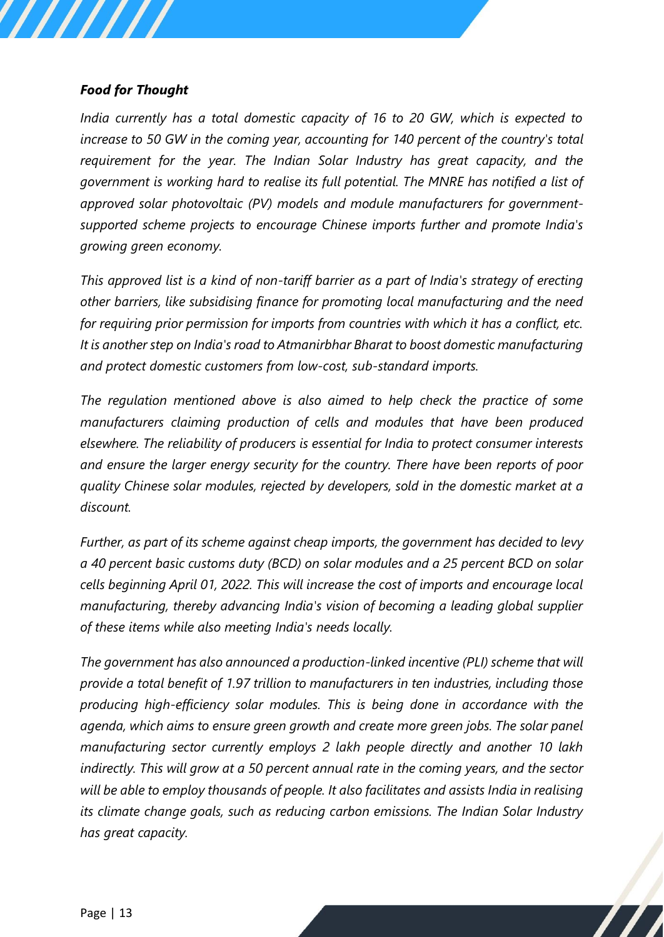#### *Food for Thought*

*India currently has a total domestic capacity of 16 to 20 GW, which is expected to increase to 50 GW in the coming year, accounting for 140 percent of the country's total requirement for the year. The Indian Solar Industry has great capacity, and the government is working hard to realise its full potential. The MNRE has notified a list of approved solar photovoltaic (PV) models and module manufacturers for governmentsupported scheme projects to encourage Chinese imports further and promote India's growing green economy.* 

*This approved list is a kind of non-tariff barrier as a part of India's strategy of erecting other barriers, like subsidising finance for promoting local manufacturing and the need for requiring prior permission for imports from countries with which it has a conflict, etc. It is another step on India's road to Atmanirbhar Bharat to boost domestic manufacturing and protect domestic customers from low-cost, sub-standard imports.*

*The regulation mentioned above is also aimed to help check the practice of some manufacturers claiming production of cells and modules that have been produced elsewhere. The reliability of producers is essential for India to protect consumer interests and ensure the larger energy security for the country. There have been reports of poor quality Chinese solar modules, rejected by developers, sold in the domestic market at a discount.* 

*Further, as part of its scheme against cheap imports, the government has decided to levy a 40 percent basic customs duty (BCD) on solar modules and a 25 percent BCD on solar cells beginning April 01, 2022. This will increase the cost of imports and encourage local manufacturing, thereby advancing India's vision of becoming a leading global supplier of these items while also meeting India's needs locally.* 

*The government has also announced a production-linked incentive (PLI) scheme that will provide a total benefit of 1.97 trillion to manufacturers in ten industries, including those producing high-efficiency solar modules. This is being done in accordance with the agenda, which aims to ensure green growth and create more green jobs. The solar panel manufacturing sector currently employs 2 lakh people directly and another 10 lakh indirectly. This will grow at a 50 percent annual rate in the coming years, and the sector will be able to employ thousands of people. It also facilitates and assists India in realising its climate change goals, such as reducing carbon emissions. The Indian Solar Industry has great capacity.*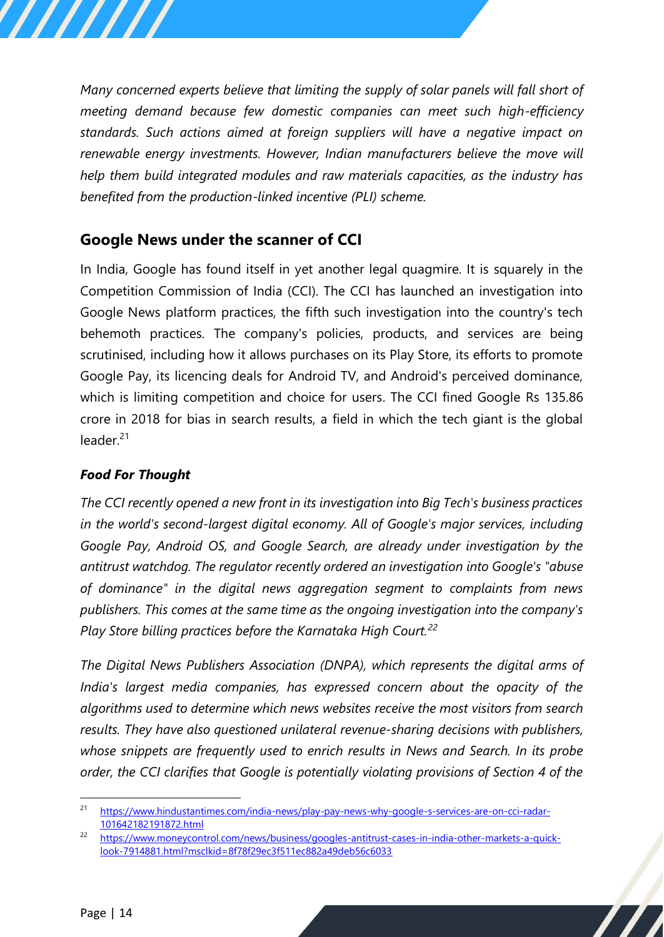*Many concerned experts believe that limiting the supply of solar panels will fall short of meeting demand because few domestic companies can meet such high-efficiency standards. Such actions aimed at foreign suppliers will have a negative impact on renewable energy investments. However, Indian manufacturers believe the move will help them build integrated modules and raw materials capacities, as the industry has benefited from the production-linked incentive (PLI) scheme.*

# <span id="page-13-0"></span>**Google News under the scanner of CCI**

In India, Google has found itself in yet another legal quagmire. It is squarely in the Competition Commission of India (CCI). The CCI has launched an investigation into Google News platform practices, the fifth such investigation into the country's tech behemoth practices. The company's policies, products, and services are being scrutinised, including how it allows purchases on its Play Store, its efforts to promote Google Pay, its licencing deals for Android TV, and Android's perceived dominance, which is limiting competition and choice for users. The CCI fined Google Rs 135.86 crore in 2018 for bias in search results, a field in which the tech giant is the global leader.<sup>21</sup>

## *Food For Thought*

*The CCI recently opened a new front in its investigation into Big Tech's business practices in the world's second-largest digital economy. All of Google's major services, including Google Pay, Android OS, and Google Search, are already under investigation by the antitrust watchdog. The regulator recently ordered an investigation into Google's "abuse of dominance" in the digital news aggregation segment to complaints from news publishers. This comes at the same time as the ongoing investigation into the company's Play Store billing practices before the Karnataka High Court.<sup>22</sup>*

*The Digital News Publishers Association (DNPA), which represents the digital arms of India's largest media companies, has expressed concern about the opacity of the algorithms used to determine which news websites receive the most visitors from search results. They have also questioned unilateral revenue-sharing decisions with publishers, whose snippets are frequently used to enrich results in News and Search. In its probe order, the CCI clarifies that Google is potentially violating provisions of Section 4 of the* 

<sup>&</sup>lt;sup>21</sup> [https://www.hindustantimes.com/india-news/play-pay-news-why-google-s-services-are-on-cci-radar-](https://www.hindustantimes.com/india-news/play-pay-news-why-google-s-services-are-on-cci-radar-101642182191872.html)[101642182191872.html](https://www.hindustantimes.com/india-news/play-pay-news-why-google-s-services-are-on-cci-radar-101642182191872.html)

<sup>22</sup> [https://www.moneycontrol.com/news/business/googles-antitrust-cases-in-india-other-markets-a-quick](https://www.moneycontrol.com/news/business/googles-antitrust-cases-in-india-other-markets-a-quick-look-7914881.html?msclkid=8f78f29ec3f511ec882a49deb56c6033)[look-7914881.html?msclkid=8f78f29ec3f511ec882a49deb56c6033](https://www.moneycontrol.com/news/business/googles-antitrust-cases-in-india-other-markets-a-quick-look-7914881.html?msclkid=8f78f29ec3f511ec882a49deb56c6033)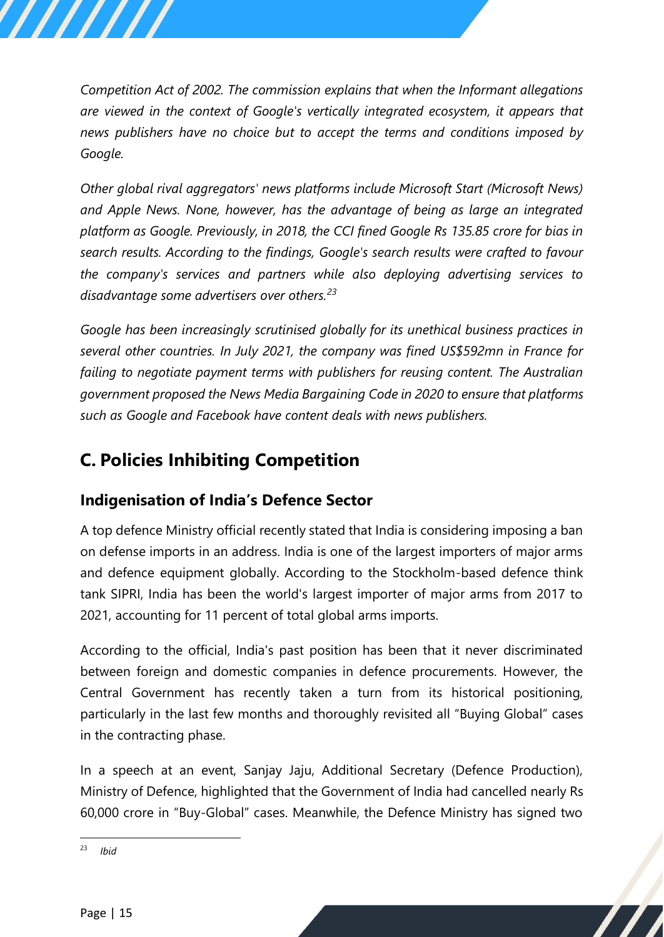*Competition Act of 2002. The commission explains that when the Informant allegations are viewed in the context of Google's vertically integrated ecosystem, it appears that news publishers have no choice but to accept the terms and conditions imposed by Google.* 

*Other global rival aggregators' news platforms include Microsoft Start (Microsoft News) and Apple News. None, however, has the advantage of being as large an integrated platform as Google. Previously, in 2018, the CCI fined Google Rs 135.85 crore for bias in search results. According to the findings, Google's search results were crafted to favour the company's services and partners while also deploying advertising services to disadvantage some advertisers over others.<sup>23</sup>*

*Google has been increasingly scrutinised globally for its unethical business practices in several other countries. In July 2021, the company was fined US\$592mn in France for failing to negotiate payment terms with publishers for reusing content. The Australian government proposed the News Media Bargaining Code in 2020 to ensure that platforms such as Google and Facebook have content deals with news publishers.*

# <span id="page-14-0"></span>**C. Policies Inhibiting Competition**

# <span id="page-14-1"></span>**Indigenisation of India's Defence Sector**

A top defence Ministry official recently stated that India is considering imposing a ban on defense imports in an address. India is one of the largest importers of major arms and defence equipment globally. According to the Stockholm-based defence think tank SIPRI, India has been the world's largest importer of major arms from 2017 to 2021, accounting for 11 percent of total global arms imports.

According to the official, India's past position has been that it never discriminated between foreign and domestic companies in defence procurements. However, the Central Government has recently taken a turn from its historical positioning, particularly in the last few months and thoroughly revisited all "Buying Global" cases in the contracting phase.

In a speech at an event, Sanjay Jaju, Additional Secretary (Defence Production), Ministry of Defence, highlighted that the Government of India had cancelled nearly Rs 60,000 crore in "Buy-Global" cases. Meanwhile, the Defence Ministry has signed two

/////

<sup>23</sup> *Ibid*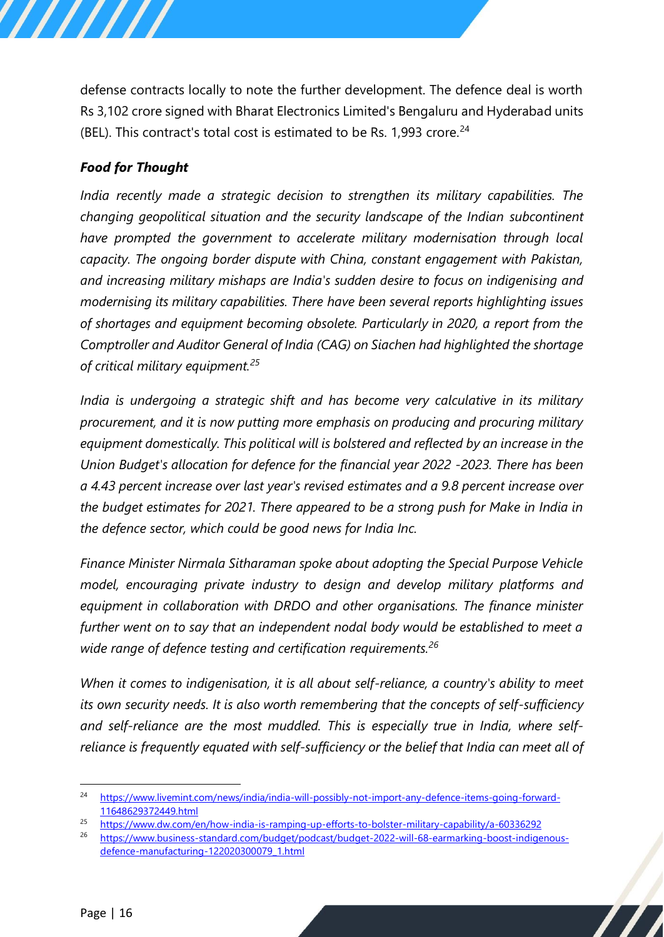defense contracts locally to note the further development. The defence deal is worth Rs 3,102 crore signed with Bharat Electronics Limited's Bengaluru and Hyderabad units (BEL). This contract's total cost is estimated to be Rs. 1,993 crore. $^{24}$ 

## *Food for Thought*

*India recently made a strategic decision to strengthen its military capabilities. The changing geopolitical situation and the security landscape of the Indian subcontinent have prompted the government to accelerate military modernisation through local capacity. The ongoing border dispute with China, constant engagement with Pakistan, and increasing military mishaps are India's sudden desire to focus on indigenising and modernising its military capabilities. There have been several reports highlighting issues of shortages and equipment becoming obsolete. Particularly in 2020, a report from the Comptroller and Auditor General of India (CAG) on Siachen had highlighted the shortage of critical military equipment.<sup>25</sup>*

*India is undergoing a strategic shift and has become very calculative in its military procurement, and it is now putting more emphasis on producing and procuring military equipment domestically. This political will is bolstered and reflected by an increase in the Union Budget's allocation for defence for the financial year 2022 -2023. There has been a 4.43 percent increase over last year's revised estimates and a 9.8 percent increase over the budget estimates for 2021. There appeared to be a strong push for Make in India in the defence sector, which could be good news for India Inc.* 

*Finance Minister Nirmala Sitharaman spoke about adopting the Special Purpose Vehicle model, encouraging private industry to design and develop military platforms and equipment in collaboration with DRDO and other organisations. The finance minister further went on to say that an independent nodal body would be established to meet a wide range of defence testing and certification requirements.<sup>26</sup>*

*When it comes to indigenisation, it is all about self-reliance, a country's ability to meet its own security needs. It is also worth remembering that the concepts of self-sufficiency and self-reliance are the most muddled. This is especially true in India, where selfreliance is frequently equated with self-sufficiency or the belief that India can meet all of* 

<sup>&</sup>lt;sup>24</sup> [https://www.livemint.com/news/india/india-will-possibly-not-import-any-defence-items-going-forward-](https://www.livemint.com/news/india/india-will-possibly-not-import-any-defence-items-going-forward-11648629372449.html)[11648629372449.html](https://www.livemint.com/news/india/india-will-possibly-not-import-any-defence-items-going-forward-11648629372449.html)

<sup>25</sup> <https://www.dw.com/en/how-india-is-ramping-up-efforts-to-bolster-military-capability/a-60336292>

<sup>26</sup> [https://www.business-standard.com/budget/podcast/budget-2022-will-68-earmarking-boost-indigenous](https://www.business-standard.com/budget/podcast/budget-2022-will-68-earmarking-boost-indigenous-defence-manufacturing-122020300079_1.html)[defence-manufacturing-122020300079\\_1.html](https://www.business-standard.com/budget/podcast/budget-2022-will-68-earmarking-boost-indigenous-defence-manufacturing-122020300079_1.html)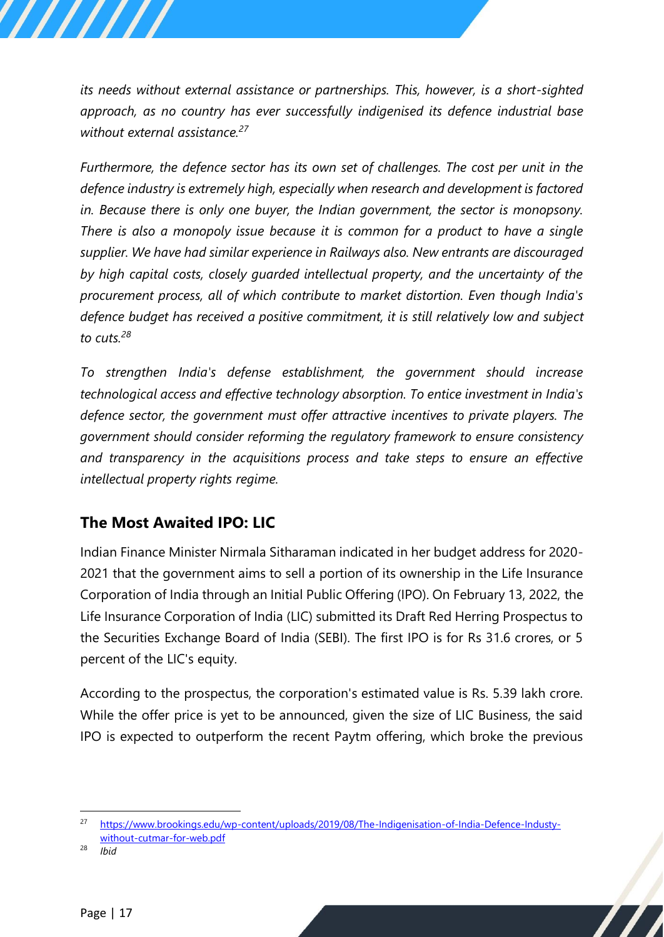*its needs without external assistance or partnerships. This, however, is a short-sighted approach, as no country has ever successfully indigenised its defence industrial base without external assistance.<sup>27</sup>*

*Furthermore, the defence sector has its own set of challenges. The cost per unit in the defence industry is extremely high, especially when research and development is factored in. Because there is only one buyer, the Indian government, the sector is monopsony. There is also a monopoly issue because it is common for a product to have a single supplier. We have had similar experience in Railways also. New entrants are discouraged by high capital costs, closely guarded intellectual property, and the uncertainty of the procurement process, all of which contribute to market distortion. Even though India's defence budget has received a positive commitment, it is still relatively low and subject to cuts.<sup>28</sup>*

*To strengthen India's defense establishment, the government should increase technological access and effective technology absorption. To entice investment in India's defence sector, the government must offer attractive incentives to private players. The government should consider reforming the regulatory framework to ensure consistency and transparency in the acquisitions process and take steps to ensure an effective intellectual property rights regime.*

# <span id="page-16-0"></span>**The Most Awaited IPO: LIC**

Indian Finance Minister Nirmala Sitharaman indicated in her budget address for 2020- 2021 that the government aims to sell a portion of its ownership in the Life Insurance Corporation of India through an Initial Public Offering (IPO). On February 13, 2022, the Life Insurance Corporation of India (LIC) submitted its Draft Red Herring Prospectus to the Securities Exchange Board of India (SEBI). The first IPO is for Rs 31.6 crores, or 5 percent of the LIC's equity.

According to the prospectus, the corporation's estimated value is Rs. 5.39 lakh crore. While the offer price is yet to be announced, given the size of LIC Business, the said IPO is expected to outperform the recent Paytm offering, which broke the previous

<sup>28</sup> *Ibid*

<sup>27</sup> [https://www.brookings.edu/wp-content/uploads/2019/08/The-Indigenisation-of-India-Defence-Industy](https://www.brookings.edu/wp-content/uploads/2019/08/The-Indigenisation-of-India-Defence-Industy-without-cutmar-for-web.pdf)[without-cutmar-for-web.pdf](https://www.brookings.edu/wp-content/uploads/2019/08/The-Indigenisation-of-India-Defence-Industy-without-cutmar-for-web.pdf)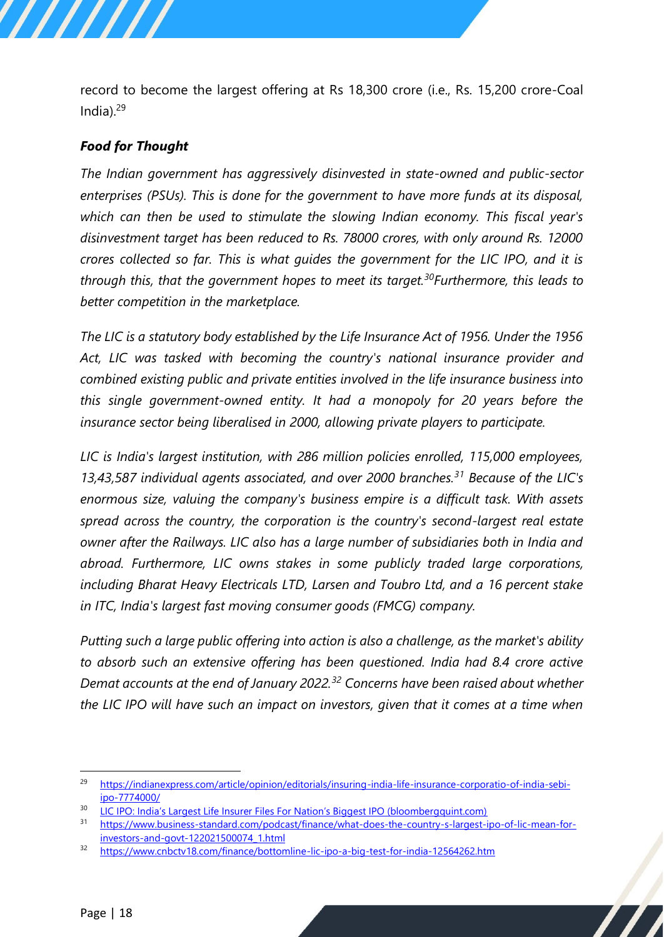record to become the largest offering at Rs 18,300 crore (i.e., Rs. 15,200 crore-Coal India). $29$ 

#### *Food for Thought*

*The Indian government has aggressively disinvested in state-owned and public-sector enterprises (PSUs). This is done for the government to have more funds at its disposal, which can then be used to stimulate the slowing Indian economy. This fiscal year's disinvestment target has been reduced to Rs. 78000 crores, with only around Rs. 12000 crores collected so far. This is what guides the government for the LIC IPO, and it is through this, that the government hopes to meet its target.<sup>30</sup>Furthermore, this leads to better competition in the marketplace.*

*The LIC is a statutory body established by the Life Insurance Act of 1956. Under the 1956 Act, LIC was tasked with becoming the country's national insurance provider and combined existing public and private entities involved in the life insurance business into this single government-owned entity. It had a monopoly for 20 years before the insurance sector being liberalised in 2000, allowing private players to participate.*

*LIC is India's largest institution, with 286 million policies enrolled, 115,000 employees, 13,43,587 individual agents associated, and over 2000 branches.<sup>31</sup> Because of the LIC's enormous size, valuing the company's business empire is a difficult task. With assets spread across the country, the corporation is the country's second-largest real estate owner after the Railways. LIC also has a large number of subsidiaries both in India and abroad. Furthermore, LIC owns stakes in some publicly traded large corporations, including Bharat Heavy Electricals LTD, Larsen and Toubro Ltd, and a 16 percent stake in ITC, India's largest fast moving consumer goods (FMCG) company.*

*Putting such a large public offering into action is also a challenge, as the market's ability to absorb such an extensive offering has been questioned. India had 8.4 crore active Demat accounts at the end of January 2022.<sup>32</sup> Concerns have been raised about whether the LIC IPO will have such an impact on investors, given that it comes at a time when* 

<sup>&</sup>lt;sup>29</sup> [https://indianexpress.com/article/opinion/editorials/insuring-india-life-insurance-corporatio-of-india-sebi](https://indianexpress.com/article/opinion/editorials/insuring-india-life-insurance-corporatio-of-india-sebi-ipo-7774000/)[ipo-7774000/](https://indianexpress.com/article/opinion/editorials/insuring-india-life-insurance-corporatio-of-india-sebi-ipo-7774000/)

<sup>&</sup>lt;sup>30</sup> [LIC IPO: India's Largest Life Insurer Files For Nation's Biggest IPO \(bloombergquint.com\)](https://www.bloombergquint.com/business/lic-ipo-indias-largest-life-insurer-files-for-nations-biggest-ipo)

<sup>31</sup> [https://www.business-standard.com/podcast/finance/what-does-the-country-s-largest-ipo-of-lic-mean-for](https://www.business-standard.com/podcast/finance/what-does-the-country-s-largest-ipo-of-lic-mean-for-investors-and-govt-122021500074_1.html)[investors-and-govt-122021500074\\_1.html](https://www.business-standard.com/podcast/finance/what-does-the-country-s-largest-ipo-of-lic-mean-for-investors-and-govt-122021500074_1.html)

<sup>32</sup> <https://www.cnbctv18.com/finance/bottomline-lic-ipo-a-big-test-for-india-12564262.htm>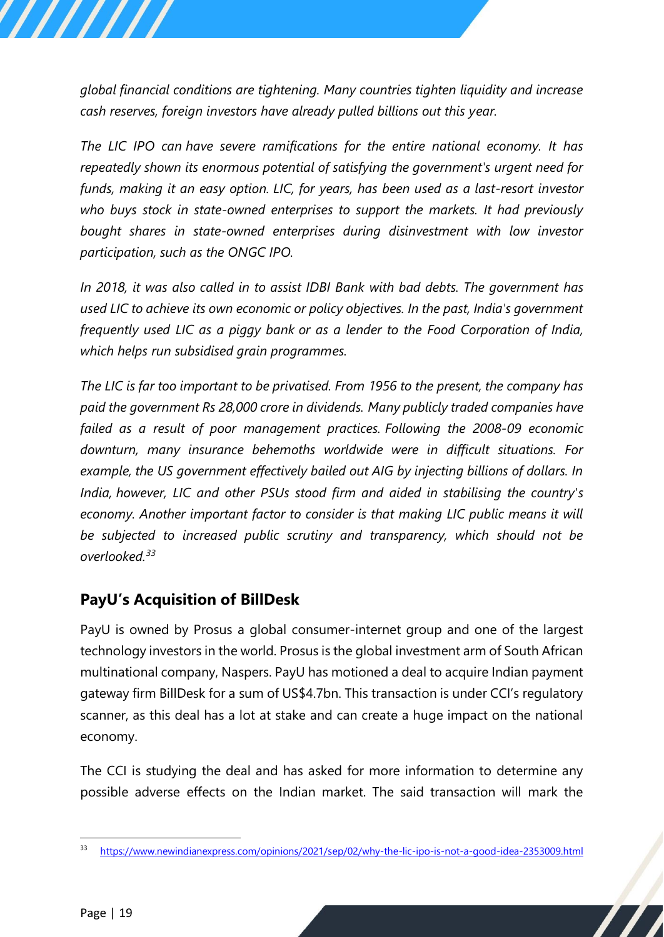*global financial conditions are tightening. Many countries tighten liquidity and increase cash reserves, foreign investors have already pulled billions out this year.*

*The LIC IPO can have severe ramifications for the entire national economy. It has repeatedly shown its enormous potential of satisfying the government's urgent need for funds, making it an easy option. LIC, for years, has been used as a last-resort investor who buys stock in state-owned enterprises to support the markets. It had previously bought shares in state-owned enterprises during disinvestment with low investor participation, such as the ONGC IPO.* 

*In 2018, it was also called in to assist IDBI Bank with bad debts. The government has used LIC to achieve its own economic or policy objectives. In the past, India's government frequently used LIC as a piggy bank or as a lender to the Food Corporation of India, which helps run subsidised grain programmes.*

*The LIC is far too important to be privatised. From 1956 to the present, the company has paid the government Rs 28,000 crore in dividends. Many publicly traded companies have failed as a result of poor management practices. Following the 2008-09 economic downturn, many insurance behemoths worldwide were in difficult situations. For example, the US government effectively bailed out AIG by injecting billions of dollars. In India, however, LIC and other PSUs stood firm and aided in stabilising the country's economy. Another important factor to consider is that making LIC public means it will be subjected to increased public scrutiny and transparency, which should not be overlooked.<sup>33</sup>*

# <span id="page-18-0"></span>**PayU's Acquisition of BillDesk**

PayU is owned by Prosus a global consumer-internet group and one of the largest technology investors in the world. Prosus is the global investment arm of South African multinational company, Naspers. PayU has motioned a deal to acquire Indian payment gateway firm BillDesk for a sum of US\$4.7bn. This transaction is under CCI's regulatory scanner, as this deal has a lot at stake and can create a huge impact on the national economy.

The CCI is studying the deal and has asked for more information to determine any possible adverse effects on the Indian market. The said transaction will mark the

<sup>33</sup> <https://www.newindianexpress.com/opinions/2021/sep/02/why-the-lic-ipo-is-not-a-good-idea-2353009.html>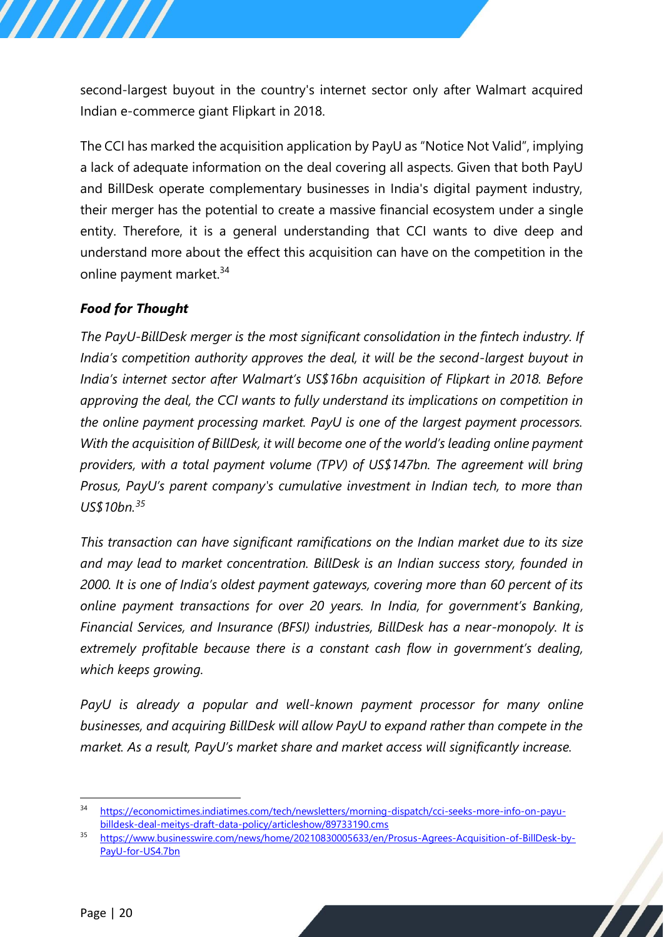second-largest buyout in the country's internet sector only after Walmart acquired Indian e-commerce giant Flipkart in 2018.

The CCI has marked the acquisition application by PayU as "Notice Not Valid", implying a lack of adequate information on the deal covering all aspects. Given that both PayU and BillDesk operate complementary businesses in India's digital payment industry, their merger has the potential to create a massive financial ecosystem under a single entity. Therefore, it is a general understanding that CCI wants to dive deep and understand more about the effect this acquisition can have on the competition in the online payment market.<sup>34</sup>

## *Food for Thought*

*The PayU-BillDesk merger is the most significant consolidation in the fintech industry. If India's competition authority approves the deal, it will be the second-largest buyout in India's internet sector after Walmart's US\$16bn acquisition of Flipkart in 2018. Before approving the deal, the CCI wants to fully understand its implications on competition in the online payment processing market. PayU is one of the largest payment processors. With the acquisition of BillDesk, it will become one of the world's leading online payment providers, with a total payment volume (TPV) of US\$147bn. The agreement will bring Prosus, PayU's parent company's cumulative investment in Indian tech, to more than US\$10bn.<sup>35</sup>*

*This transaction can have significant ramifications on the Indian market due to its size and may lead to market concentration. BillDesk is an Indian success story, founded in 2000. It is one of India's oldest payment gateways, covering more than 60 percent of its online payment transactions for over 20 years. In India, for government's Banking, Financial Services, and Insurance (BFSI) industries, BillDesk has a near-monopoly. It is extremely profitable because there is a constant cash flow in government's dealing, which keeps growing.* 

*PayU is already a popular and well-known payment processor for many online businesses, and acquiring BillDesk will allow PayU to expand rather than compete in the market. As a result, PayU's market share and market access will significantly increase.*

<sup>34</sup> [https://economictimes.indiatimes.com/tech/newsletters/morning-dispatch/cci-seeks-more-info-on-payu](https://economictimes.indiatimes.com/tech/newsletters/morning-dispatch/cci-seeks-more-info-on-payu-billdesk-deal-meitys-draft-data-policy/articleshow/89733190.cms)[billdesk-deal-meitys-draft-data-policy/articleshow/89733190.cms](https://economictimes.indiatimes.com/tech/newsletters/morning-dispatch/cci-seeks-more-info-on-payu-billdesk-deal-meitys-draft-data-policy/articleshow/89733190.cms)

<sup>35</sup> [https://www.businesswire.com/news/home/20210830005633/en/Prosus-Agrees-Acquisition-of-BillDesk-by-](https://www.businesswire.com/news/home/20210830005633/en/Prosus-Agrees-Acquisition-of-BillDesk-by-PayU-for-US4.7bn)[PayU-for-US4.7bn](https://www.businesswire.com/news/home/20210830005633/en/Prosus-Agrees-Acquisition-of-BillDesk-by-PayU-for-US4.7bn)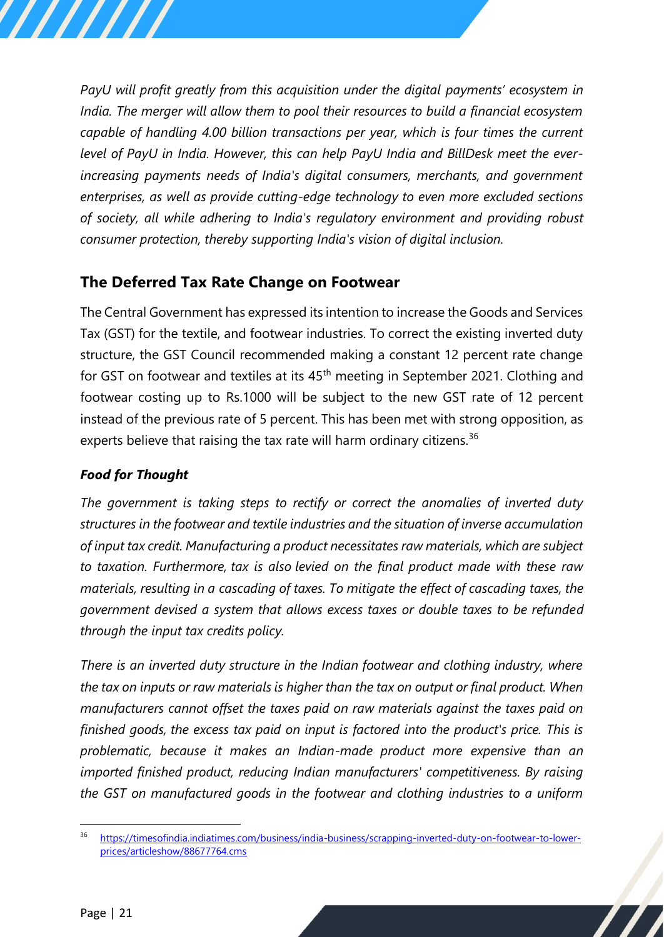*PayU will profit greatly from this acquisition under the digital payments' ecosystem in India. The merger will allow them to pool their resources to build a financial ecosystem capable of handling 4.00 billion transactions per year, which is four times the current level of PayU in India. However, this can help PayU India and BillDesk meet the everincreasing payments needs of India's digital consumers, merchants, and government enterprises, as well as provide cutting-edge technology to even more excluded sections of society, all while adhering to India's regulatory environment and providing robust consumer protection, thereby supporting India's vision of digital inclusion.*

# <span id="page-20-0"></span>**The Deferred Tax Rate Change on Footwear**

The Central Government has expressed its intention to increase the Goods and Services Tax (GST) for the textile, and footwear industries. To correct the existing inverted duty structure, the GST Council recommended making a constant 12 percent rate change for GST on footwear and textiles at its  $45<sup>th</sup>$  meeting in September 2021. Clothing and footwear costing up to Rs.1000 will be subject to the new GST rate of 12 percent instead of the previous rate of 5 percent. This has been met with strong opposition, as experts believe that raising the tax rate will harm ordinary citizens.<sup>36</sup>

## *Food for Thought*

*The government is taking steps to rectify or correct the anomalies of inverted duty structures in the footwear and textile industries and the situation of inverse accumulation of input tax credit. Manufacturing a product necessitates raw materials, which are subject to taxation. Furthermore, tax is also levied on the final product made with these raw materials, resulting in a cascading of taxes. To mitigate the effect of cascading taxes, the government devised a system that allows excess taxes or double taxes to be refunded through the input tax credits policy.* 

*There is an inverted duty structure in the Indian footwear and clothing industry, where the tax on inputs or raw materials is higher than the tax on output or final product. When manufacturers cannot offset the taxes paid on raw materials against the taxes paid on finished goods, the excess tax paid on input is factored into the product's price. This is problematic, because it makes an Indian-made product more expensive than an imported finished product, reducing Indian manufacturers' competitiveness. By raising the GST on manufactured goods in the footwear and clothing industries to a uniform* 

<sup>36</sup> [https://timesofindia.indiatimes.com/business/india-business/scrapping-inverted-duty-on-footwear-to-lower](https://timesofindia.indiatimes.com/business/india-business/scrapping-inverted-duty-on-footwear-to-lower-prices/articleshow/88677764.cms)[prices/articleshow/88677764.cms](https://timesofindia.indiatimes.com/business/india-business/scrapping-inverted-duty-on-footwear-to-lower-prices/articleshow/88677764.cms)